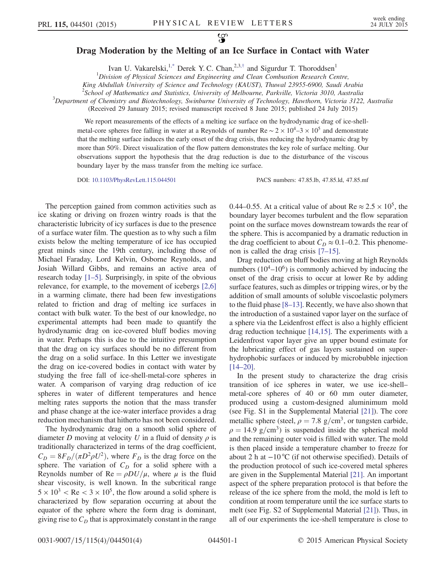## Drag Moderation by the Melting of an Ice Surface in Contact with Water

Ivan U. Vakarelski,<sup>1[,\\*](#page-3-0)</sup> Derek Y. C. Chan,<sup>2,3,[†](#page-3-1)</sup> and Sigurdur T. Thoroddsen<sup>1</sup>

 ${}^{1}$ Division of Physical Sciences and Engineering and Clean Combustion Research Centre,

King Abdullah University of Science and Technology (KAUST), Thuwal 23955-6900, Saudi Arabia

<span id="page-0-0"></span><sup>2</sup> School of Mathematics and Statistics, University of Melbourne, Parkville, Victoria 3010, Australia<sup>3</sup><br>2 Department of Chamistry and Biotechnology, Swinburne University of Technology, Hauthern, Victoria 3122

 $\beta$ Department of Chemistry and Biotechnology, Swinburne University of Technology, Hawthorn, Victoria 3122, Australia

(Received 29 January 2015; revised manuscript received 8 June 2015; published 24 July 2015)

We report measurements of the effects of a melting ice surface on the hydrodynamic drag of ice-shellmetal-core spheres free falling in water at a Reynolds of number Re  $\sim 2 \times 10^4$ –3 × 10<sup>5</sup> and demonstrate that the melting surface induces the early onset of the drag crisis, thus reducing the hydrodynamic drag by more than 50%. Direct visualization of the flow pattern demonstrates the key role of surface melting. Our observations support the hypothesis that the drag reduction is due to the disturbance of the viscous boundary layer by the mass transfer from the melting ice surface.

DOI: [10.1103/PhysRevLett.115.044501](http://dx.doi.org/10.1103/PhysRevLett.115.044501) PACS numbers: 47.85.lb, 47.85.ld, 47.85.mf

The perception gained from common activities such as ice skating or driving on frozen wintry roads is that the characteristic lubricity of icy surfaces is due to the presence of a surface water film. The question as to why such a film exists below the melting temperature of ice has occupied great minds since the 19th century, including those of Michael Faraday, Lord Kelvin, Osborne Reynolds, and Josiah Willard Gibbs, and remains an active area of research today [1–[5\].](#page-3-2) Surprisingly, in spite of the obvious relevance, for example, to the movement of icebergs [\[2,6\]](#page-3-3) in a warming climate, there had been few investigations related to friction and drag of melting ice surfaces in contact with bulk water. To the best of our knowledge, no experimental attempts had been made to quantify the hydrodynamic drag on ice-covered bluff bodies moving in water. Perhaps this is due to the intuitive presumption that the drag on icy surfaces should be no different from the drag on a solid surface. In this Letter we investigate the drag on ice-covered bodies in contact with water by studying the free fall of ice-shell-metal-core spheres in water. A comparison of varying drag reduction of ice spheres in water of different temperatures and hence melting rates supports the notion that the mass transfer and phase change at the ice-water interface provides a drag reduction mechanism that hitherto has not been considered.

The hydrodynamic drag on a smooth solid sphere of diameter D moving at velocity U in a fluid of density  $\rho$  is traditionally characterized in terms of the drag coefficient,  $C_D = 8F_D/(\pi D^2 \rho U^2)$ , where  $F_D$  is the drag force on the sphere. The variation of  $C_D$  for a solid sphere with a Reynolds number of Re =  $\rho D U/\mu$ , where  $\mu$  is the fluid shear viscosity, is well known. In the subcritical range  $5 \times 10^3$  < Re <  $3 \times 10^5$ , the flow around a solid sphere is characterized by flow separation occurring at about the equator of the sphere where the form drag is dominant, giving rise to  $C_D$  that is approximately constant in the range 0.44–0.55. At a critical value of about Re  $\approx 2.5 \times 10^5$ , the boundary layer becomes turbulent and the flow separation point on the surface moves downstream towards the rear of the sphere. This is accompanied by a dramatic reduction in the drag coefficient to about  $C_D \approx 0.1$ –0.2. This phenomenon is called the drag crisis [7–[15\].](#page-3-4)

Drag reduction on bluff bodies moving at high Reynolds numbers  $(10^4 - 10^6)$  is commonly achieved by inducing the onset of the drag crisis to occur at lower Re by adding surface features, such as dimples or tripping wires, or by the addition of small amounts of soluble viscoelastic polymers to the fluid phase [8–[13\]](#page-3-5). Recently, we have also shown that the introduction of a sustained vapor layer on the surface of a sphere via the Leidenfrost effect is also a highly efficient drag reduction technique [\[14,15\].](#page-3-6) The experiments with a Leidenfrost vapor layer give an upper bound estimate for the lubricating effect of gas layers sustained on superhydrophobic surfaces or induced by microbubble injection [\[14](#page-3-6)–20].

In the present study to characterize the drag crisis transition of ice spheres in water, we use ice-shell– metal-core spheres of 40 or 60 mm outer diameter, produced using a custom-designed aluminimum mold (see Fig. S1 in the Supplemental Material [\[21\]](#page-3-7)). The core metallic sphere (steel,  $\rho = 7.8$  g/cm<sup>3</sup>, or tungsten carbide,  $\rho = 14.9$  g/cm<sup>3</sup>) is suspended inside the spherical mold and the remaining outer void is filled with water. The mold is then placed inside a temperature chamber to freeze for about 2 h at −10 °C (if not otherwise specified). Details of the production protocol of such ice-covered metal spheres are given in the Supplemental Material [\[21\]](#page-3-7). An important aspect of the sphere preparation protocol is that before the release of the ice sphere from the mold, the mold is left to condition at room temperature until the ice surface starts to melt (see Fig. S2 of Supplemental Material [\[21\]](#page-3-7)). Thus, in all of our experiments the ice-shell temperature is close to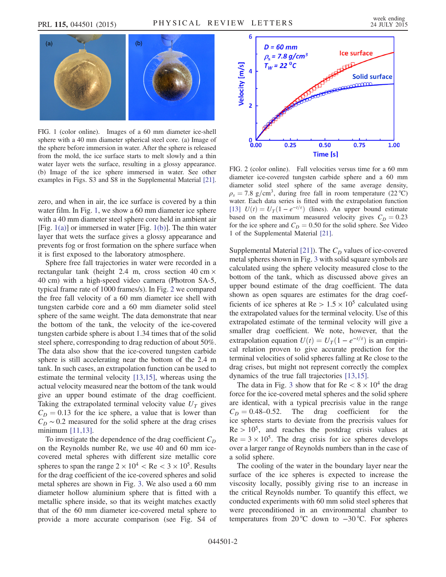<span id="page-1-0"></span>

FIG. 1 (color online). Images of a 60 mm diameter ice-shell sphere with a 40 mm diameter spherical steel core. (a) Image of the sphere before immersion in water. After the sphere is released from the mold, the ice surface starts to melt slowly and a thin water layer wets the surface, resulting in a glossy appearance. (b) Image of the ice sphere immersed in water. See other examples in Figs. S3 and S8 in the Supplemental Material [\[21\].](#page-3-7)

zero, and when in air, the ice surface is covered by a thin water film. In Fig. [1,](#page-1-0) we show a 60 mm diameter ice sphere with a 40 mm diameter steel sphere core held in ambient air [Fig.  $1(a)$ ] or immersed in water [Fig.  $1(b)$ ]. The thin water layer that wets the surface gives a glossy appearance and prevents fog or frost formation on the sphere surface when it is first exposed to the laboratory atmosphere.

Sphere free fall trajectories in water were recorded in a rectangular tank (height 2.4 m, cross section 40 cm  $\times$ 40 cm) with a high-speed video camera (Photron SA-5, typical frame rate of 1000 frames/s). In Fig. [2](#page-1-1) we compared the free fall velocity of a 60 mm diameter ice shell with tungsten carbide core and a 60 mm diameter solid steel sphere of the same weight. The data demonstrate that near the bottom of the tank, the velocity of the ice-covered tungsten carbide sphere is about 1.34 times that of the solid steel sphere, corresponding to drag reduction of about 50%. The data also show that the ice-covered tungsten carbide sphere is still accelerating near the bottom of the 2.4 m tank. In such cases, an extrapolation function can be used to estimate the terminal velocity [\[13,15\]](#page-3-8), whereas using the actual velocity measured near the bottom of the tank would give an upper bound estimate of the drag coefficient. Taking the extrapolated terminal velocity value  $U_T$  gives  $C_D = 0.13$  for the ice sphere, a value that is lower than  $C_D \sim 0.2$  measured for the solid sphere at the drag crises minimum [\[11,13\]](#page-3-9).

To investigate the dependence of the drag coefficient  $C_D$ on the Reynolds number Re, we use 40 and 60 mm icecovered metal spheres with different size metallic core spheres to span the range  $2 \times 10^4$  < Re < 3  $\times 10^5$ . Results for the drag coefficient of the ice-covered spheres and solid metal spheres are shown in Fig. [3.](#page-2-0) We also used a 60 mm diameter hollow aluminium sphere that is fitted with a metallic sphere inside, so that its weight matches exactly that of the 60 mm diameter ice-covered metal sphere to provide a more accurate comparison (see Fig. S4 of

<span id="page-1-1"></span>

FIG. 2 (color online). Fall velocities versus time for a 60 mm diameter ice-covered tungsten carbide sphere and a 60 mm diameter solid steel sphere of the same average density,  $\rho_s = 7.8$  g/cm<sup>3</sup>, during free fall in room temperature (22 °C) water. Each data series is fitted with the extrapolation function [\[13\]](#page-3-8)  $U(t) = U_T(1 - e^{-t/\tau})$  (lines). An upper bound estimate based on the maximum measured velocity gives  $C_D = 0.23$ for the ice sphere and  $C_D = 0.50$  for the solid sphere. See Video 1 of the Supplemental Material [\[21\].](#page-3-7)

Supplemental Material [\[21\]](#page-3-7)). The  $C<sub>D</sub>$  values of ice-covered metal spheres shown in Fig. [3](#page-2-0) with solid square symbols are calculated using the sphere velocity measured close to the bottom of the tank, which as discussed above gives an upper bound estimate of the drag coefficient. The data shown as open squares are estimates for the drag coefficients of ice spheres at  $Re > 1.5 \times 10^5$  calculated using the extrapolated values for the terminal velocity. Use of this extrapolated estimate of the terminal velocity will give a smaller drag coefficient. We note, however, that the extrapolation equation  $U(t) = U_T(1 - e^{-t/\tau})$  is an empirical relation proven to give accurate prediction for the terminal velocities of solid spheres falling at Re close to the drag crises, but might not represent correctly the complex dynamics of the true fall trajectories [\[13,15\].](#page-3-8)

The data in Fig. [3](#page-2-0) show that for  $Re < 8 \times 10^4$  the drag force for the ice-covered metal spheres and the solid sphere are identical, with a typical precrisis value in the range  $C_D = 0.48 - 0.52$ . The drag coefficient for the ice spheres starts to deviate from the precrisis values for  $Re > 10^5$ , and reaches the postdrag crisis values at  $Re = 3 \times 10^5$ . The drag crisis for ice spheres develops over a larger range of Reynolds numbers than in the case of a solid sphere.

The cooling of the water in the boundary layer near the surface of the ice spheres is expected to increase the viscosity locally, possibly giving rise to an increase in the critical Reynolds number. To quantify this effect, we conducted experiments with 60 mm solid steel spheres that were preconditioned in an environmental chamber to temperatures from 20 °C down to −30 °C. For spheres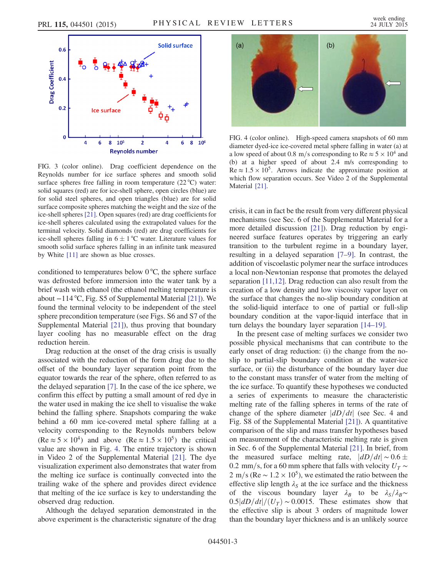<span id="page-2-0"></span>

FIG. 3 (color online). Drag coefficient dependence on the Reynolds number for ice surface spheres and smooth solid surface spheres free falling in room temperature  $(22^{\circ}C)$  water: solid squares (red) are for ice-shell sphere, open circles (blue) are for solid steel spheres, and open triangles (blue) are for solid surface composite spheres matching the weight and the size of the ice-shell spheres [\[21\].](#page-3-7) Open squares (red) are drag coefficients for ice-shell spheres calculated using the extrapolated values for the terminal velocity. Solid diamonds (red) are drag coefficients for ice-shell spheres falling in  $6 \pm 1$  °C water. Literature values for smooth solid surface spheres falling in an infinite tank measured by White [\[11\]](#page-3-9) are shown as blue crosses.

conditioned to temperatures below  $0^{\circ}C$ , the sphere surface was defrosted before immersion into the water tank by a brief wash with ethanol (the ethanol melting temperature is about −114 °C, Fig. S5 of Supplemental Material [\[21\]\)](#page-3-7). We found the terminal velocity to be independent of the steel sphere precondition temperature (see Figs. S6 and S7 of the Supplemental Material [\[21\]\)](#page-3-7), thus proving that boundary layer cooling has no measurable effect on the drag reduction herein.

Drag reduction at the onset of the drag crisis is usually associated with the reduction of the form drag due to the offset of the boundary layer separation point from the equator towards the rear of the sphere, often referred to as the delayed separation [\[7\]](#page-3-4). In the case of the ice sphere, we confirm this effect by putting a small amount of red dye in the water used in making the ice shell to visualise the wake behind the falling sphere. Snapshots comparing the wake behind a 60 mm ice-covered metal sphere falling at a velocity corresponding to the Reynolds numbers below  $(Re \approx 5 \times 10^4)$  and above  $(Re \approx 1.5 \times 10^5)$  the critical value are shown in Fig. [4.](#page-2-1) The entire trajectory is shown in Video 2 of the Supplemental Material [\[21\].](#page-3-7) The dye visualization experiment also demonstrates that water from the melting ice surface is continually convected into the trailing wake of the sphere and provides direct evidence that melting of the ice surface is key to understanding the observed drag reduction.

Although the delayed separation demonstrated in the above experiment is the characteristic signature of the drag

<span id="page-2-1"></span>

FIG. 4 (color online). High-speed camera snapshots of 60 mm diameter dyed-ice ice-covered metal sphere falling in water (a) at a low speed of about 0.8 m/s corresponding to Re  $\approx$  5  $\times$  10<sup>4</sup> and (b) at a higher speed of about 2.4 m/s corresponding to  $Re \approx 1.5 \times 10^5$ . Arrows indicate the approximate position at which flow separation occurs. See Video 2 of the Supplemental Material [\[21\].](#page-3-7)

crisis, it can in fact be the result from very different physical mechanisms (see Sec. 6 of the Supplemental Material for a more detailed discussion [\[21\]\)](#page-3-7). Drag reduction by engineered surface features operates by triggering an early transition to the turbulent regime in a boundary layer, resulting in a delayed separation [7–[9\].](#page-3-4) In contrast, the addition of viscoelastic polymer near the surface introduces a local non-Newtonian response that promotes the delayed separation [\[11,12\].](#page-3-9) Drag reduction can also result from the creation of a low density and low viscosity vapor layer on the surface that changes the no-slip boundary condition at the solid-liquid interface to one of partial or full-slip boundary condition at the vapor-liquid interface that in turn delays the boundary layer separation [\[14](#page-3-6)–19].

In the present case of melting surfaces we consider two possible physical mechanisms that can contribute to the early onset of drag reduction: (i) the change from the noslip to partial-slip boundary condition at the water-ice surface, or (ii) the disturbance of the boundary layer due to the constant mass transfer of water from the melting of the ice surface. To quantify these hypotheses we conducted a series of experiments to measure the characteristic melting rate of the falling spheres in terms of the rate of change of the sphere diameter  $\left| \frac{dD}{dt} \right|$  (see Sec. 4 and Fig. S8 of the Supplemental Material [\[21\]\)](#page-3-7). A quantitative comparison of the slip and mass transfer hypotheses based on measurement of the characteristic melting rate is given in Sec. 6 of the Supplemental Material [\[21\].](#page-3-7) In brief, from the measured surface melting rate,  $|dD/dt| \sim 0.6 \pm$ 0.2 mm/s, for a 60 mm sphere that falls with velocity  $U_T \sim$ 2 m/s (Re  $\sim$  1.2 × 10<sup>5</sup>), we estimated the ratio between the effective slip length  $\lambda_S$  at the ice surface and the thickness of the viscous boundary layer  $\lambda_B$  to be  $\lambda_S/\lambda_B \sim$  $0.5|dD/dt|/(U_T) \sim 0.0015$ . These estimates show that the effective slip is about 3 orders of magnitude lower than the boundary layer thickness and is an unlikely source